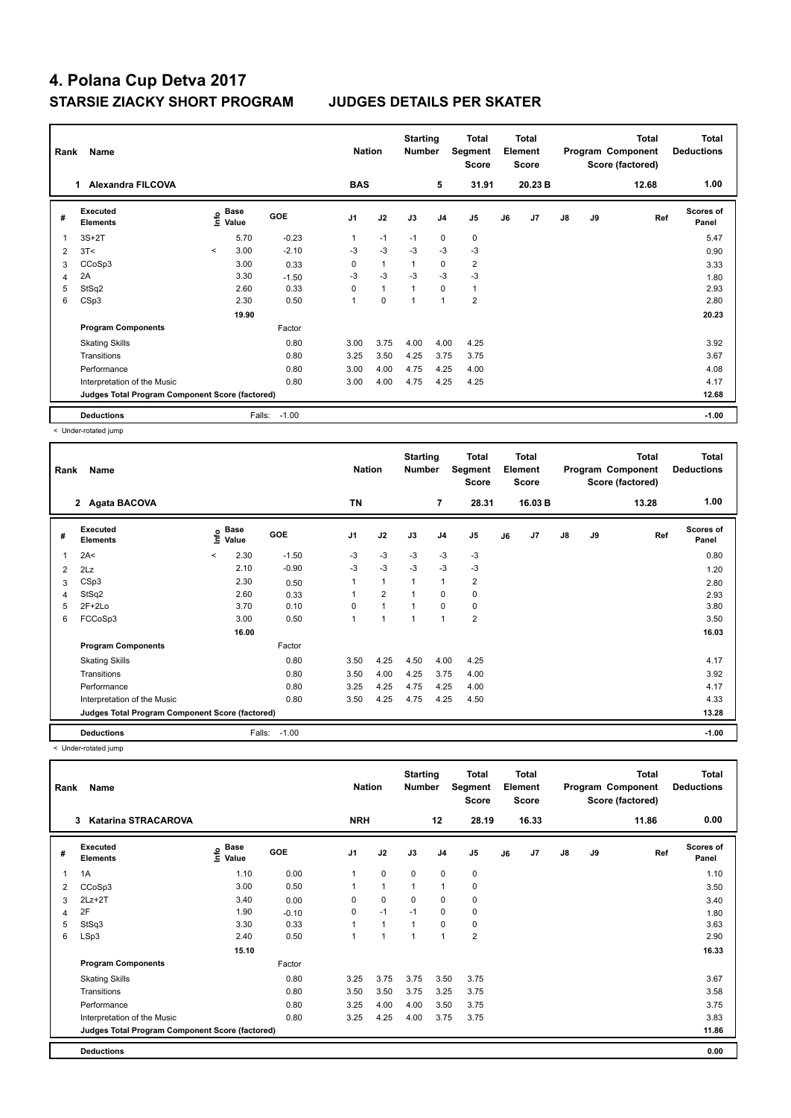| Rank | Name                                            | <b>Nation</b> |                                  | <b>Starting</b><br><b>Number</b> |                | Total<br>Segment<br><b>Score</b> |              | <b>Total</b><br>Element<br><b>Score</b> |                |    | Total<br>Program Component<br>Score (factored) | <b>Total</b><br><b>Deductions</b> |    |       |                           |
|------|-------------------------------------------------|---------------|----------------------------------|----------------------------------|----------------|----------------------------------|--------------|-----------------------------------------|----------------|----|------------------------------------------------|-----------------------------------|----|-------|---------------------------|
|      | <b>Alexandra FILCOVA</b><br>1.                  |               |                                  |                                  | <b>BAS</b>     |                                  |              | 5                                       | 31.91          |    | 20.23 B                                        |                                   |    | 12.68 | 1.00                      |
| #    | Executed<br><b>Elements</b>                     |               | <b>Base</b><br>e Base<br>트 Value | <b>GOE</b>                       | J <sub>1</sub> | J2                               | J3           | J <sub>4</sub>                          | J <sub>5</sub> | J6 | J7                                             | $\mathsf{J}8$                     | J9 | Ref   | <b>Scores of</b><br>Panel |
|      | $3S+2T$                                         |               | 5.70                             | $-0.23$                          | 1              | $-1$                             | $-1$         | $\mathbf 0$                             | $\mathbf 0$    |    |                                                |                                   |    |       | 5.47                      |
| 2    | 3T<                                             | $\prec$       | 3.00                             | $-2.10$                          | $-3$           | $-3$                             | $-3$         | $-3$                                    | $-3$           |    |                                                |                                   |    |       | 0.90                      |
| 3    | CCoSp3                                          |               | 3.00                             | 0.33                             | 0              | $\mathbf{1}$                     | $\mathbf{1}$ | $\mathbf 0$                             | $\overline{2}$ |    |                                                |                                   |    |       | 3.33                      |
| 4    | 2A                                              |               | 3.30                             | $-1.50$                          | $-3$           | $-3$                             | $-3$         | $-3$                                    | $-3$           |    |                                                |                                   |    |       | 1.80                      |
| 5    | StSq2                                           |               | 2.60                             | 0.33                             | $\Omega$       | $\mathbf{1}$                     | $\mathbf{1}$ | $\Omega$                                | $\mathbf{1}$   |    |                                                |                                   |    |       | 2.93                      |
| 6    | CSp3                                            |               | 2.30                             | 0.50                             | 1              | 0                                | $\mathbf{1}$ | 1                                       | $\overline{2}$ |    |                                                |                                   |    |       | 2.80                      |
|      |                                                 |               | 19.90                            |                                  |                |                                  |              |                                         |                |    |                                                |                                   |    |       | 20.23                     |
|      | <b>Program Components</b>                       |               |                                  | Factor                           |                |                                  |              |                                         |                |    |                                                |                                   |    |       |                           |
|      | <b>Skating Skills</b>                           |               |                                  | 0.80                             | 3.00           | 3.75                             | 4.00         | 4.00                                    | 4.25           |    |                                                |                                   |    |       | 3.92                      |
|      | Transitions                                     |               |                                  | 0.80                             | 3.25           | 3.50                             | 4.25         | 3.75                                    | 3.75           |    |                                                |                                   |    |       | 3.67                      |
|      | Performance                                     |               |                                  | 0.80                             | 3.00           | 4.00                             | 4.75         | 4.25                                    | 4.00           |    |                                                |                                   |    |       | 4.08                      |
|      | Interpretation of the Music                     |               |                                  | 0.80                             | 3.00           | 4.00                             | 4.75         | 4.25                                    | 4.25           |    |                                                |                                   |    |       | 4.17                      |
|      | Judges Total Program Component Score (factored) |               |                                  |                                  |                |                                  |              |                                         |                |    |                                                |                                   |    |       | 12.68                     |
|      | <b>Deductions</b>                               |               | Falls:                           | $-1.00$                          |                |                                  |              |                                         |                |    |                                                |                                   |    |       | $-1.00$                   |

< Under-rotated jump

| Rank         | Name                                            |         | <b>Nation</b> |         | <b>Starting</b><br><b>Number</b> |                | Total<br>Segment<br>Score |                | <b>Total</b><br>Element<br><b>Score</b> |    |         | Total<br>Program Component<br>Score (factored) | <b>Total</b><br><b>Deductions</b> |       |                           |
|--------------|-------------------------------------------------|---------|---------------|---------|----------------------------------|----------------|---------------------------|----------------|-----------------------------------------|----|---------|------------------------------------------------|-----------------------------------|-------|---------------------------|
|              | 2 Agata BACOVA                                  |         |               |         | <b>TN</b>                        |                |                           | $\overline{7}$ | 28.31                                   |    | 16.03 B |                                                |                                   | 13.28 | 1.00                      |
| #            | Executed<br><b>Elements</b>                     | ١nf٥    | Base<br>Value | GOE     | J <sub>1</sub>                   | J2             | J3                        | J <sub>4</sub> | J5                                      | J6 | J7      | $\mathsf{J}8$                                  | J9                                | Ref   | <b>Scores of</b><br>Panel |
| $\mathbf{1}$ | 2A<                                             | $\prec$ | 2.30          | $-1.50$ | $-3$                             | $-3$           | $-3$                      | $-3$           | $-3$                                    |    |         |                                                |                                   |       | 0.80                      |
| 2            | 2Lz                                             |         | 2.10          | $-0.90$ | $-3$                             | $-3$           | $-3$                      | $-3$           | $-3$                                    |    |         |                                                |                                   |       | 1.20                      |
| 3            | CSp3                                            |         | 2.30          | 0.50    | 1                                | $\overline{1}$ | $\mathbf{1}$              | $\mathbf{1}$   | $\overline{2}$                          |    |         |                                                |                                   |       | 2.80                      |
| 4            | StSq2                                           |         | 2.60          | 0.33    |                                  | $\overline{2}$ | 1                         | $\mathbf 0$    | 0                                       |    |         |                                                |                                   |       | 2.93                      |
| 5            | $2F+2Lo$                                        |         | 3.70          | 0.10    | $\Omega$                         | 1              | 1                         | $\Omega$       | 0                                       |    |         |                                                |                                   |       | 3.80                      |
| 6            | FCCoSp3                                         |         | 3.00          | 0.50    | 1                                | 1              | 1                         | $\mathbf{1}$   | $\overline{2}$                          |    |         |                                                |                                   |       | 3.50                      |
|              |                                                 |         | 16.00         |         |                                  |                |                           |                |                                         |    |         |                                                |                                   |       | 16.03                     |
|              | <b>Program Components</b>                       |         |               | Factor  |                                  |                |                           |                |                                         |    |         |                                                |                                   |       |                           |
|              | <b>Skating Skills</b>                           |         |               | 0.80    | 3.50                             | 4.25           | 4.50                      | 4.00           | 4.25                                    |    |         |                                                |                                   |       | 4.17                      |
|              | Transitions                                     |         |               | 0.80    | 3.50                             | 4.00           | 4.25                      | 3.75           | 4.00                                    |    |         |                                                |                                   |       | 3.92                      |
|              | Performance                                     |         |               | 0.80    | 3.25                             | 4.25           | 4.75                      | 4.25           | 4.00                                    |    |         |                                                |                                   |       | 4.17                      |
|              | Interpretation of the Music                     |         |               | 0.80    | 3.50                             | 4.25           | 4.75                      | 4.25           | 4.50                                    |    |         |                                                |                                   |       | 4.33                      |
|              | Judges Total Program Component Score (factored) |         |               |         |                                  |                |                           |                |                                         |    |         |                                                |                                   |       | 13.28                     |
|              | <b>Deductions</b>                               |         | Falls:        | $-1.00$ |                                  |                |                           |                |                                         |    |         |                                                |                                   |       | $-1.00$                   |

< Under-rotated jump

| Rank | Name                                            |                                             | <b>Nation</b> |                | <b>Starting</b><br><b>Number</b> |              | <b>Total</b><br>Segment<br><b>Score</b> |                | <b>Total</b><br>Element<br><b>Score</b> |       |               | <b>Total</b><br>Program Component<br>Score (factored) | Total<br><b>Deductions</b> |                           |
|------|-------------------------------------------------|---------------------------------------------|---------------|----------------|----------------------------------|--------------|-----------------------------------------|----------------|-----------------------------------------|-------|---------------|-------------------------------------------------------|----------------------------|---------------------------|
|      | <b>Katarina STRACAROVA</b><br>3                 |                                             |               | <b>NRH</b>     |                                  |              | 12                                      | 28.19          |                                         | 16.33 |               |                                                       | 11.86                      | 0.00                      |
| #    | <b>Executed</b><br><b>Elements</b>              | <b>Base</b><br>e <sup>Base</sup><br>⊆ Value | <b>GOE</b>    | J <sub>1</sub> | J2                               | J3           | J <sub>4</sub>                          | J <sub>5</sub> | J6                                      | J7    | $\mathsf{J}8$ | J9                                                    | Ref                        | <b>Scores of</b><br>Panel |
| 1    | 1A                                              | 1.10                                        | 0.00          | 1              | $\mathbf 0$                      | 0            | $\mathbf 0$                             | 0              |                                         |       |               |                                                       |                            | 1.10                      |
| 2    | CCoSp3                                          | 3.00                                        | 0.50          |                | $\mathbf{1}$                     | $\mathbf{1}$ | $\mathbf{1}$                            | $\mathbf 0$    |                                         |       |               |                                                       |                            | 3.50                      |
| 3    | $2Lz+2T$                                        | 3.40                                        | 0.00          | 0              | $\mathbf 0$                      | 0            | 0                                       | 0              |                                         |       |               |                                                       |                            | 3.40                      |
| 4    | 2F                                              | 1.90                                        | $-0.10$       | 0              | $-1$                             | $-1$         | 0                                       | 0              |                                         |       |               |                                                       |                            | 1.80                      |
| 5    | StSq3                                           | 3.30                                        | 0.33          |                | $\mathbf{1}$                     | $\mathbf{1}$ | $\mathbf 0$                             | $\pmb{0}$      |                                         |       |               |                                                       |                            | 3.63                      |
| 6    | LSp3                                            | 2.40                                        | 0.50          |                | $\mathbf{1}$                     | 1            | $\mathbf{1}$                            | $\overline{2}$ |                                         |       |               |                                                       |                            | 2.90                      |
|      |                                                 | 15.10                                       |               |                |                                  |              |                                         |                |                                         |       |               |                                                       |                            | 16.33                     |
|      | <b>Program Components</b>                       |                                             | Factor        |                |                                  |              |                                         |                |                                         |       |               |                                                       |                            |                           |
|      | <b>Skating Skills</b>                           |                                             | 0.80          | 3.25           | 3.75                             | 3.75         | 3.50                                    | 3.75           |                                         |       |               |                                                       |                            | 3.67                      |
|      | Transitions                                     |                                             | 0.80          | 3.50           | 3.50                             | 3.75         | 3.25                                    | 3.75           |                                         |       |               |                                                       |                            | 3.58                      |
|      | Performance                                     |                                             | 0.80          | 3.25           | 4.00                             | 4.00         | 3.50                                    | 3.75           |                                         |       |               |                                                       |                            | 3.75                      |
|      | Interpretation of the Music                     |                                             | 0.80          | 3.25           | 4.25                             | 4.00         | 3.75                                    | 3.75           |                                         |       |               |                                                       |                            | 3.83                      |
|      | Judges Total Program Component Score (factored) |                                             |               |                |                                  |              |                                         |                |                                         |       |               |                                                       |                            | 11.86                     |
|      | <b>Deductions</b>                               |                                             |               |                |                                  |              |                                         |                |                                         |       |               |                                                       |                            | 0.00                      |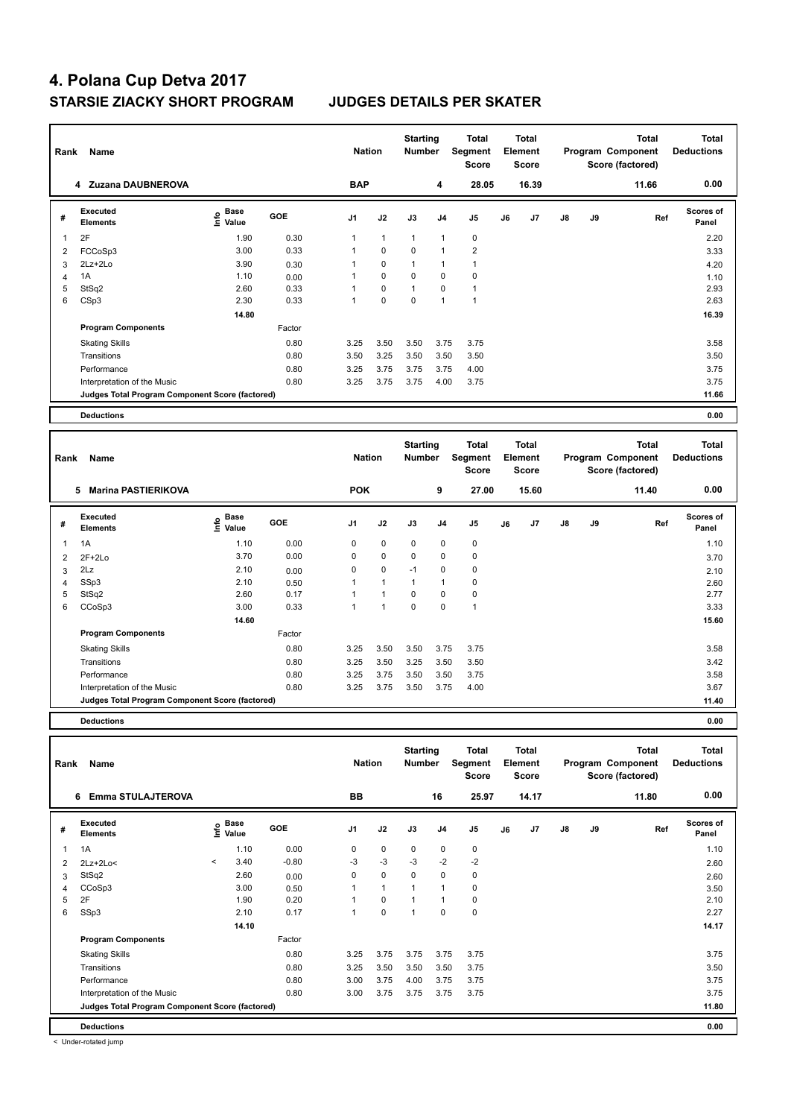| Rank | Name                                            | <b>Nation</b>                    |            | <b>Starting</b><br><b>Number</b> |              | <b>Total</b><br><b>Segment</b><br><b>Score</b> |                | <b>Total</b><br>Element<br><b>Score</b> |    |       | <b>Total</b><br>Program Component<br>Score (factored) | Total<br><b>Deductions</b> |       |                           |
|------|-------------------------------------------------|----------------------------------|------------|----------------------------------|--------------|------------------------------------------------|----------------|-----------------------------------------|----|-------|-------------------------------------------------------|----------------------------|-------|---------------------------|
|      | 4 Zuzana DAUBNEROVA                             |                                  |            | <b>BAP</b>                       |              |                                                | 4              | 28.05                                   |    | 16.39 |                                                       |                            | 11.66 | 0.00                      |
| #    | <b>Executed</b><br><b>Elements</b>              | <b>Base</b><br>o Base<br>⊆ Value | <b>GOE</b> | J <sub>1</sub>                   | J2           | J3                                             | J <sub>4</sub> | J <sub>5</sub>                          | J6 | J7    | $\mathsf{J}8$                                         | J9                         | Ref   | <b>Scores of</b><br>Panel |
| 1    | 2F                                              | 1.90                             | 0.30       | 1                                | $\mathbf{1}$ | $\mathbf{1}$                                   | $\mathbf{1}$   | $\mathbf 0$                             |    |       |                                                       |                            |       | 2.20                      |
| 2    | FCCoSp3                                         | 3.00                             | 0.33       | 1                                | $\mathbf 0$  | $\mathbf 0$                                    | $\overline{1}$ | $\overline{2}$                          |    |       |                                                       |                            |       | 3.33                      |
| 3    | 2Lz+2Lo                                         | 3.90                             | 0.30       | 1                                | $\mathbf 0$  | 1                                              | $\mathbf{1}$   | $\mathbf{1}$                            |    |       |                                                       |                            |       | 4.20                      |
| 4    | 1A                                              | 1.10                             | 0.00       | 1                                | $\mathbf 0$  | $\Omega$                                       | $\Omega$       | $\mathbf 0$                             |    |       |                                                       |                            |       | 1.10                      |
| 5    | StSq2                                           | 2.60                             | 0.33       | 1                                | $\mathbf 0$  | 1                                              | $\Omega$       | $\mathbf{1}$                            |    |       |                                                       |                            |       | 2.93                      |
| 6    | CSp3                                            | 2.30                             | 0.33       | 1                                | 0            | 0                                              | $\overline{1}$ | $\overline{1}$                          |    |       |                                                       |                            |       | 2.63                      |
|      |                                                 | 14.80                            |            |                                  |              |                                                |                |                                         |    |       |                                                       |                            |       | 16.39                     |
|      | <b>Program Components</b>                       |                                  | Factor     |                                  |              |                                                |                |                                         |    |       |                                                       |                            |       |                           |
|      | <b>Skating Skills</b>                           |                                  | 0.80       | 3.25                             | 3.50         | 3.50                                           | 3.75           | 3.75                                    |    |       |                                                       |                            |       | 3.58                      |
|      | Transitions                                     |                                  | 0.80       | 3.50                             | 3.25         | 3.50                                           | 3.50           | 3.50                                    |    |       |                                                       |                            |       | 3.50                      |
|      | Performance                                     |                                  | 0.80       | 3.25                             | 3.75         | 3.75                                           | 3.75           | 4.00                                    |    |       |                                                       |                            |       | 3.75                      |
|      | Interpretation of the Music                     |                                  | 0.80       | 3.25                             | 3.75         | 3.75                                           | 4.00           | 3.75                                    |    |       |                                                       |                            |       | 3.75                      |
|      | Judges Total Program Component Score (factored) |                                  |            |                                  |              |                                                |                |                                         |    |       |                                                       |                            |       | 11.66                     |
|      | <b>Deductions</b>                               |                                  |            |                                  |              |                                                |                |                                         |    |       |                                                       |                            |       | 0.00                      |
|      |                                                 |                                  |            |                                  |              |                                                |                |                                         |    |       |                                                       |                            |       |                           |

| Rank | Name<br>5<br><b>Marina PASTIERIKOVA</b>         |                                             |            |                | <b>Nation</b> | <b>Starting</b><br><b>Number</b> |                | <b>Total</b><br>Segment<br><b>Score</b> |    | <b>Total</b><br>Element<br><b>Score</b> |    |    | <b>Total</b><br>Program Component<br>Score (factored) | <b>Total</b><br><b>Deductions</b> |
|------|-------------------------------------------------|---------------------------------------------|------------|----------------|---------------|----------------------------------|----------------|-----------------------------------------|----|-----------------------------------------|----|----|-------------------------------------------------------|-----------------------------------|
|      |                                                 |                                             |            | <b>POK</b>     |               |                                  | 9              | 27.00                                   |    | 15.60                                   |    |    | 11.40                                                 | 0.00                              |
| #    | Executed<br><b>Elements</b>                     | <b>Base</b><br>e <sup>Base</sup><br>⊆ Value | <b>GOE</b> | J <sub>1</sub> | J2            | J3                               | J <sub>4</sub> | J <sub>5</sub>                          | J6 | J <sub>7</sub>                          | J8 | J9 | Ref                                                   | <b>Scores of</b><br>Panel         |
| 1    | 1A                                              | 1.10                                        | 0.00       | 0              | $\mathbf 0$   | $\mathbf 0$                      | 0              | $\pmb{0}$                               |    |                                         |    |    |                                                       | 1.10                              |
| 2    | $2F+2Lo$                                        | 3.70                                        | 0.00       | 0              | $\mathbf 0$   | $\mathbf 0$                      | $\mathbf 0$    | $\pmb{0}$                               |    |                                         |    |    |                                                       | 3.70                              |
| 3    | 2Lz                                             | 2.10                                        | 0.00       | 0              | 0             | $-1$                             | 0              | 0                                       |    |                                         |    |    |                                                       | 2.10                              |
| 4    | SSp3                                            | 2.10                                        | 0.50       |                | $\mathbf{1}$  | $\mathbf 1$                      | $\overline{1}$ | $\pmb{0}$                               |    |                                         |    |    |                                                       | 2.60                              |
| 5    | StSq2                                           | 2.60                                        | 0.17       |                |               | $\Omega$                         | 0              | $\pmb{0}$                               |    |                                         |    |    |                                                       | 2.77                              |
| 6    | CCoSp3                                          | 3.00                                        | 0.33       |                | 1             | 0                                | 0              | 1                                       |    |                                         |    |    |                                                       | 3.33                              |
|      |                                                 | 14.60                                       |            |                |               |                                  |                |                                         |    |                                         |    |    |                                                       | 15.60                             |
|      | <b>Program Components</b>                       |                                             | Factor     |                |               |                                  |                |                                         |    |                                         |    |    |                                                       |                                   |
|      | <b>Skating Skills</b>                           |                                             | 0.80       | 3.25           | 3.50          | 3.50                             | 3.75           | 3.75                                    |    |                                         |    |    |                                                       | 3.58                              |
|      | Transitions                                     |                                             | 0.80       | 3.25           | 3.50          | 3.25                             | 3.50           | 3.50                                    |    |                                         |    |    |                                                       | 3.42                              |
|      | Performance                                     |                                             | 0.80       | 3.25           | 3.75          | 3.50                             | 3.50           | 3.75                                    |    |                                         |    |    |                                                       | 3.58                              |
|      | Interpretation of the Music                     |                                             | 0.80       | 3.25           | 3.75          | 3.50                             | 3.75           | 4.00                                    |    |                                         |    |    |                                                       | 3.67                              |
|      | Judges Total Program Component Score (factored) |                                             |            |                |               |                                  |                |                                         |    |                                         |    |    |                                                       | 11.40                             |
|      |                                                 |                                             |            |                |               |                                  |                |                                         |    |                                         |    |    |                                                       |                                   |

**Deductions 0.00**

| Rank           | Name                                            |         | <b>Nation</b>     |            | <b>Starting</b><br><b>Number</b> |                | <b>Total</b><br>Segment<br>Score |                | Total<br>Element<br>Score |    |       | <b>Total</b><br>Program Component<br>Score (factored) | <b>Total</b><br><b>Deductions</b> |       |                           |
|----------------|-------------------------------------------------|---------|-------------------|------------|----------------------------------|----------------|----------------------------------|----------------|---------------------------|----|-------|-------------------------------------------------------|-----------------------------------|-------|---------------------------|
|                | <b>Emma STULAJTEROVA</b><br>6                   |         |                   |            | BB                               |                |                                  | 16             | 25.97                     |    | 14.17 |                                                       |                                   | 11.80 | 0.00                      |
| #              | Executed<br><b>Elements</b>                     |         | e Base<br>E Value | <b>GOE</b> | J <sub>1</sub>                   | J2             | J3                               | J <sub>4</sub> | J <sub>5</sub>            | J6 | J7    | $\mathsf{J}8$                                         | J9                                | Ref   | <b>Scores of</b><br>Panel |
| 1              | 1A                                              |         | 1.10              | 0.00       | 0                                | $\mathbf 0$    | $\mathbf 0$                      | $\mathbf 0$    | 0                         |    |       |                                                       |                                   |       | 1.10                      |
| 2              | $2Lz + 2Lo <$                                   | $\prec$ | 3.40              | $-0.80$    | $-3$                             | $-3$           | $-3$                             | $-2$           | $-2$                      |    |       |                                                       |                                   |       | 2.60                      |
| 3              | StSq2                                           |         | 2.60              | 0.00       | $\Omega$                         | $\mathbf 0$    | $\Omega$                         | $\mathbf 0$    | 0                         |    |       |                                                       |                                   |       | 2.60                      |
| $\overline{4}$ | CCoSp3                                          |         | 3.00              | 0.50       |                                  | $\overline{1}$ | 1                                | $\overline{1}$ | 0                         |    |       |                                                       |                                   |       | 3.50                      |
| 5              | 2F                                              |         | 1.90              | 0.20       |                                  | 0              | $\overline{4}$                   | $\overline{1}$ | 0                         |    |       |                                                       |                                   |       | 2.10                      |
| 6              | SSp3                                            |         | 2.10              | 0.17       | 1                                | $\mathbf 0$    | $\overline{1}$                   | $\Omega$       | $\pmb{0}$                 |    |       |                                                       |                                   |       | 2.27                      |
|                |                                                 |         | 14.10             |            |                                  |                |                                  |                |                           |    |       |                                                       |                                   |       | 14.17                     |
|                | <b>Program Components</b>                       |         |                   | Factor     |                                  |                |                                  |                |                           |    |       |                                                       |                                   |       |                           |
|                | <b>Skating Skills</b>                           |         |                   | 0.80       | 3.25                             | 3.75           | 3.75                             | 3.75           | 3.75                      |    |       |                                                       |                                   |       | 3.75                      |
|                | Transitions                                     |         |                   | 0.80       | 3.25                             | 3.50           | 3.50                             | 3.50           | 3.75                      |    |       |                                                       |                                   |       | 3.50                      |
|                | Performance                                     |         |                   | 0.80       | 3.00                             | 3.75           | 4.00                             | 3.75           | 3.75                      |    |       |                                                       |                                   |       | 3.75                      |
|                | Interpretation of the Music                     |         |                   | 0.80       | 3.00                             | 3.75           | 3.75                             | 3.75           | 3.75                      |    |       |                                                       |                                   |       | 3.75                      |
|                | Judges Total Program Component Score (factored) |         |                   |            |                                  |                |                                  |                |                           |    |       |                                                       |                                   |       | 11.80                     |
|                | <b>Deductions</b>                               |         |                   |            |                                  |                |                                  |                |                           |    |       |                                                       |                                   |       | 0.00                      |

< Under-rotated jump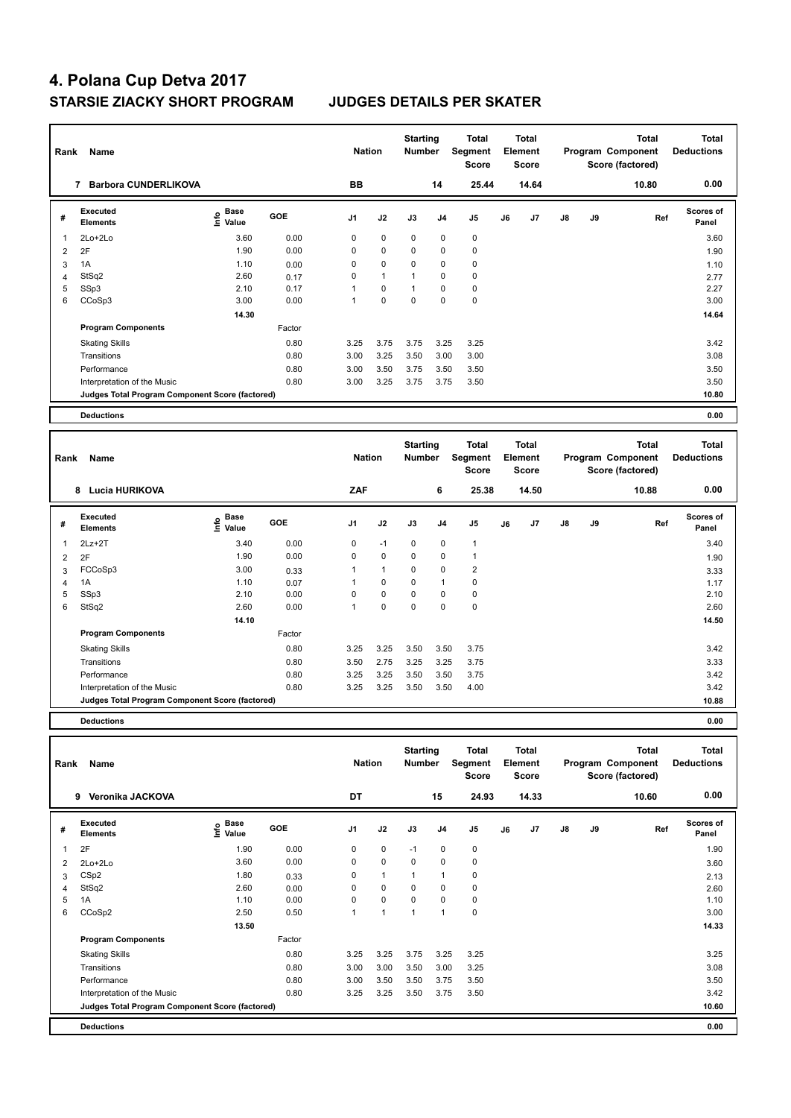| Rank | Name<br><b>Barbora CUNDERLIKOVA</b><br>7        |                                  |        |                | <b>Nation</b> | <b>Starting</b><br><b>Number</b> |                | <b>Total</b><br>Segment<br><b>Score</b> |    | <b>Total</b><br>Element<br><b>Score</b> |               |    | <b>Total</b><br>Program Component<br>Score (factored) | <b>Total</b><br><b>Deductions</b> |
|------|-------------------------------------------------|----------------------------------|--------|----------------|---------------|----------------------------------|----------------|-----------------------------------------|----|-----------------------------------------|---------------|----|-------------------------------------------------------|-----------------------------------|
|      |                                                 |                                  |        | BB             |               |                                  | 14             | 25.44                                   |    | 14.64                                   |               |    | 10.80                                                 | 0.00                              |
| #    | <b>Executed</b><br><b>Elements</b>              | <b>Base</b><br>o Base<br>⊆ Value | GOE    | J <sub>1</sub> | J2            | J3                               | J <sub>4</sub> | J <sub>5</sub>                          | J6 | J7                                      | $\mathsf{J}8$ | J9 | Ref                                                   | <b>Scores of</b><br>Panel         |
| 1    | 2Lo+2Lo                                         | 3.60                             | 0.00   | $\mathbf 0$    | 0             | 0                                | 0              | $\mathbf 0$                             |    |                                         |               |    |                                                       | 3.60                              |
| 2    | 2F                                              | 1.90                             | 0.00   | 0              | 0             | $\Omega$                         | 0              | $\mathbf 0$                             |    |                                         |               |    |                                                       | 1.90                              |
| 3    | 1A                                              | 1.10                             | 0.00   | 0              | 0             | 0                                | 0              | 0                                       |    |                                         |               |    |                                                       | 1.10                              |
| 4    | StSq2                                           | 2.60                             | 0.17   | $\Omega$       | $\mathbf{1}$  | 1                                | 0              | 0                                       |    |                                         |               |    |                                                       | 2.77                              |
| 5    | SSp3                                            | 2.10                             | 0.17   |                | 0             | 1                                | 0              | 0                                       |    |                                         |               |    |                                                       | 2.27                              |
| 6    | CCoSp3                                          | 3.00                             | 0.00   | 1              | 0             | $\Omega$                         | 0              | $\mathbf 0$                             |    |                                         |               |    |                                                       | 3.00                              |
|      |                                                 | 14.30                            |        |                |               |                                  |                |                                         |    |                                         |               |    |                                                       | 14.64                             |
|      | <b>Program Components</b>                       |                                  | Factor |                |               |                                  |                |                                         |    |                                         |               |    |                                                       |                                   |
|      | <b>Skating Skills</b>                           |                                  | 0.80   | 3.25           | 3.75          | 3.75                             | 3.25           | 3.25                                    |    |                                         |               |    |                                                       | 3.42                              |
|      | Transitions                                     |                                  | 0.80   | 3.00           | 3.25          | 3.50                             | 3.00           | 3.00                                    |    |                                         |               |    |                                                       | 3.08                              |
|      | Performance                                     |                                  | 0.80   | 3.00           | 3.50          | 3.75                             | 3.50           | 3.50                                    |    |                                         |               |    |                                                       | 3.50                              |
|      | Interpretation of the Music                     |                                  | 0.80   | 3.00           | 3.25          | 3.75                             | 3.75           | 3.50                                    |    |                                         |               |    |                                                       | 3.50                              |
|      | Judges Total Program Component Score (factored) |                                  |        |                |               |                                  |                |                                         |    |                                         |               |    |                                                       | 10.80                             |
|      | <b>Deductions</b>                               |                                  |        |                |               |                                  |                |                                         |    |                                         |               |    |                                                       | 0.00                              |

| Rank           | Name                                            |                                             | <b>Nation</b> |                | <b>Starting</b><br>Number |             | <b>Total</b><br>Segment<br><b>Score</b> |                | Total<br>Element<br><b>Score</b> |                |               | <b>Total</b><br>Program Component<br>Score (factored) | Total<br><b>Deductions</b> |                           |
|----------------|-------------------------------------------------|---------------------------------------------|---------------|----------------|---------------------------|-------------|-----------------------------------------|----------------|----------------------------------|----------------|---------------|-------------------------------------------------------|----------------------------|---------------------------|
|                | <b>Lucia HURIKOVA</b><br>8                      |                                             |               | ZAF            |                           |             | 6                                       | 25.38          |                                  | 14.50          |               |                                                       | 10.88                      | 0.00                      |
| #              | Executed<br><b>Elements</b>                     | <b>Base</b><br>e <sup>Base</sup><br>⊆ Value | GOE           | J <sub>1</sub> | J2                        | J3          | J <sub>4</sub>                          | J5             | J6                               | J <sub>7</sub> | $\mathsf{J}8$ | J9                                                    | Ref                        | <b>Scores of</b><br>Panel |
| 1              | $2Lz+2T$                                        | 3.40                                        | 0.00          | 0              | $-1$                      | $\mathbf 0$ | $\mathbf 0$                             | 1              |                                  |                |               |                                                       |                            | 3.40                      |
| $\overline{2}$ | 2F                                              | 1.90                                        | 0.00          | 0              | $\mathbf 0$               | $\mathbf 0$ | $\mathbf 0$                             | 1              |                                  |                |               |                                                       |                            | 1.90                      |
| 3              | FCCoSp3                                         | 3.00                                        | 0.33          | 1              | $\mathbf{1}$              | 0           | $\mathbf 0$                             | $\overline{2}$ |                                  |                |               |                                                       |                            | 3.33                      |
| 4              | 1A                                              | 1.10                                        | 0.07          |                | $\mathbf 0$               | 0           | $\mathbf{1}$                            | $\pmb{0}$      |                                  |                |               |                                                       |                            | 1.17                      |
| 5              | SSp3                                            | 2.10                                        | 0.00          | $\mathbf 0$    | $\pmb{0}$                 | $\mathbf 0$ | $\mathbf 0$                             | $\pmb{0}$      |                                  |                |               |                                                       |                            | 2.10                      |
| 6              | StSq2                                           | 2.60                                        | 0.00          | 1              | $\pmb{0}$                 | 0           | $\mathbf 0$                             | $\mathbf 0$    |                                  |                |               |                                                       |                            | 2.60                      |
|                |                                                 | 14.10                                       |               |                |                           |             |                                         |                |                                  |                |               |                                                       |                            | 14.50                     |
|                | <b>Program Components</b>                       |                                             | Factor        |                |                           |             |                                         |                |                                  |                |               |                                                       |                            |                           |
|                | <b>Skating Skills</b>                           |                                             | 0.80          | 3.25           | 3.25                      | 3.50        | 3.50                                    | 3.75           |                                  |                |               |                                                       |                            | 3.42                      |
|                | Transitions                                     |                                             | 0.80          | 3.50           | 2.75                      | 3.25        | 3.25                                    | 3.75           |                                  |                |               |                                                       |                            | 3.33                      |
|                | Performance                                     |                                             | 0.80          | 3.25           | 3.25                      | 3.50        | 3.50                                    | 3.75           |                                  |                |               |                                                       |                            | 3.42                      |
|                | Interpretation of the Music                     |                                             | 0.80          | 3.25           | 3.25                      | 3.50        | 3.50                                    | 4.00           |                                  |                |               |                                                       |                            | 3.42                      |
|                | Judges Total Program Component Score (factored) |                                             |               |                |                           |             |                                         |                |                                  |                |               |                                                       |                            | 10.88                     |
|                |                                                 |                                             |               |                |                           |             |                                         |                |                                  |                |               |                                                       |                            |                           |

**Deductions 0.00**

| Rank | Name                                            |                       | <b>Nation</b> |                | <b>Starting</b><br><b>Number</b> |             | Total<br>Segment<br><b>Score</b> |           | Total<br>Element<br>Score |       |               | Total<br>Program Component<br>Score (factored) | <b>Total</b><br><b>Deductions</b> |                           |
|------|-------------------------------------------------|-----------------------|---------------|----------------|----------------------------------|-------------|----------------------------------|-----------|---------------------------|-------|---------------|------------------------------------------------|-----------------------------------|---------------------------|
|      | Veronika JACKOVA<br>9                           |                       |               | DT             |                                  |             | 15                               | 24.93     |                           | 14.33 |               |                                                | 10.60                             | 0.00                      |
| #    | <b>Executed</b><br><b>Elements</b>              | $\sum_{i=1}^{n}$ Base | <b>GOE</b>    | J <sub>1</sub> | J2                               | J3          | J <sub>4</sub>                   | J5        | J6                        | J7    | $\mathsf{J}8$ | J9                                             | Ref                               | <b>Scores of</b><br>Panel |
| 1    | 2F                                              | 1.90                  | 0.00          | 0              | 0                                | $-1$        | 0                                | 0         |                           |       |               |                                                |                                   | 1.90                      |
| 2    | 2Lo+2Lo                                         | 3.60                  | 0.00          | 0              | $\mathbf 0$                      | $\mathbf 0$ | 0                                | $\pmb{0}$ |                           |       |               |                                                |                                   | 3.60                      |
| 3    | CSp2                                            | 1.80                  | 0.33          | 0              | $\mathbf{1}$                     |             | $\mathbf{1}$                     | 0         |                           |       |               |                                                |                                   | 2.13                      |
| 4    | StSq2                                           | 2.60                  | 0.00          | 0              | 0                                | $\mathbf 0$ | 0                                | 0         |                           |       |               |                                                |                                   | 2.60                      |
| 5    | 1A                                              | 1.10                  | 0.00          | 0              | 0                                | $\mathbf 0$ | 0                                | 0         |                           |       |               |                                                |                                   | 1.10                      |
| 6    | CCoSp2                                          | 2.50                  | 0.50          |                | $\mathbf{1}$                     | 1           | $\mathbf{1}$                     | 0         |                           |       |               |                                                |                                   | 3.00                      |
|      |                                                 | 13.50                 |               |                |                                  |             |                                  |           |                           |       |               |                                                |                                   | 14.33                     |
|      | <b>Program Components</b>                       |                       | Factor        |                |                                  |             |                                  |           |                           |       |               |                                                |                                   |                           |
|      | <b>Skating Skills</b>                           |                       | 0.80          | 3.25           | 3.25                             | 3.75        | 3.25                             | 3.25      |                           |       |               |                                                |                                   | 3.25                      |
|      | Transitions                                     |                       | 0.80          | 3.00           | 3.00                             | 3.50        | 3.00                             | 3.25      |                           |       |               |                                                |                                   | 3.08                      |
|      | Performance                                     |                       | 0.80          | 3.00           | 3.50                             | 3.50        | 3.75                             | 3.50      |                           |       |               |                                                |                                   | 3.50                      |
|      | Interpretation of the Music                     |                       | 0.80          | 3.25           | 3.25                             | 3.50        | 3.75                             | 3.50      |                           |       |               |                                                |                                   | 3.42                      |
|      | Judges Total Program Component Score (factored) |                       |               |                |                                  |             |                                  |           |                           |       |               |                                                |                                   | 10.60                     |
|      | <b>Deductions</b>                               |                       |               |                |                                  |             |                                  |           |                           |       |               |                                                |                                   | 0.00                      |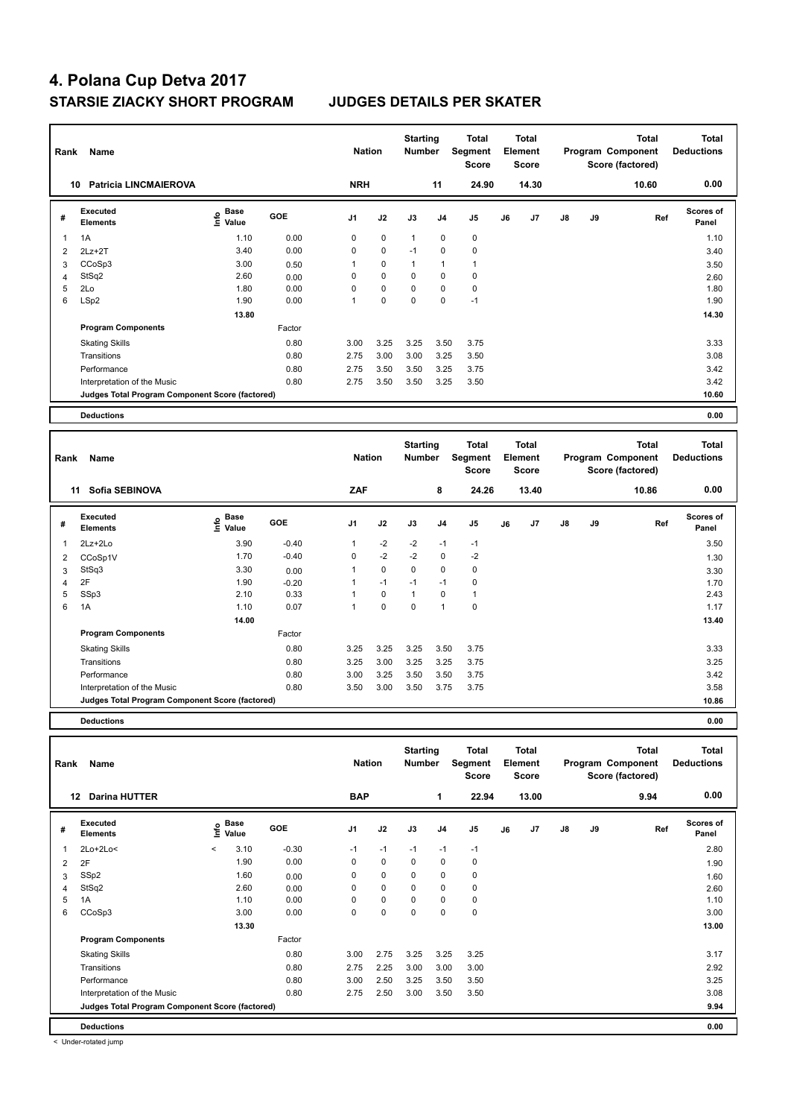| Rank           | Name                                            |                           | <b>Nation</b> |            | <b>Starting</b><br><b>Number</b> |             | <b>Total</b><br>Segment<br><b>Score</b> |                | Total<br>Element<br><b>Score</b> |       |               | <b>Total</b><br>Program Component<br>Score (factored) | <b>Total</b><br><b>Deductions</b> |                           |
|----------------|-------------------------------------------------|---------------------------|---------------|------------|----------------------------------|-------------|-----------------------------------------|----------------|----------------------------------|-------|---------------|-------------------------------------------------------|-----------------------------------|---------------------------|
|                | <b>Patricia LINCMAIEROVA</b><br>10              |                           |               | <b>NRH</b> |                                  |             | 11                                      | 24.90          |                                  | 14.30 |               |                                                       | 10.60                             | 0.00                      |
| #              | <b>Executed</b><br><b>Elements</b>              | Base<br>o Base<br>⊆ Value | GOE           | J1         | J2                               | J3          | J <sub>4</sub>                          | J <sub>5</sub> | J6                               | J7    | $\mathsf{J}8$ | J9                                                    | Ref                               | <b>Scores of</b><br>Panel |
|                | 1A                                              | 1.10                      | 0.00          | 0          | $\mathbf 0$                      | 1           | $\mathbf 0$                             | $\pmb{0}$      |                                  |       |               |                                                       |                                   | 1.10                      |
| $\overline{2}$ | $2Lz + 2T$                                      | 3.40                      | 0.00          | 0          | $\mathbf 0$                      | $-1$        | 0                                       | $\pmb{0}$      |                                  |       |               |                                                       |                                   | 3.40                      |
| 3              | CCoSp3                                          | 3.00                      | 0.50          | 1          | $\mathbf 0$                      | 1           | $\overline{1}$                          | $\mathbf{1}$   |                                  |       |               |                                                       |                                   | 3.50                      |
| 4              | StSq2                                           | 2.60                      | 0.00          | 0          | $\mathbf 0$                      | 0           | $\mathbf 0$                             | $\pmb{0}$      |                                  |       |               |                                                       |                                   | 2.60                      |
| 5              | 2Lo                                             | 1.80                      | 0.00          | 0          | $\mathbf 0$                      | 0           | $\mathbf 0$                             | 0              |                                  |       |               |                                                       |                                   | 1.80                      |
| 6              | LSp2                                            | 1.90                      | 0.00          | 1          | $\mathbf 0$                      | $\mathbf 0$ | $\mathbf 0$                             | $-1$           |                                  |       |               |                                                       |                                   | 1.90                      |
|                |                                                 | 13.80                     |               |            |                                  |             |                                         |                |                                  |       |               |                                                       |                                   | 14.30                     |
|                | <b>Program Components</b>                       |                           | Factor        |            |                                  |             |                                         |                |                                  |       |               |                                                       |                                   |                           |
|                | <b>Skating Skills</b>                           |                           | 0.80          | 3.00       | 3.25                             | 3.25        | 3.50                                    | 3.75           |                                  |       |               |                                                       |                                   | 3.33                      |
|                | Transitions                                     |                           | 0.80          | 2.75       | 3.00                             | 3.00        | 3.25                                    | 3.50           |                                  |       |               |                                                       |                                   | 3.08                      |
|                | Performance                                     |                           | 0.80          | 2.75       | 3.50                             | 3.50        | 3.25                                    | 3.75           |                                  |       |               |                                                       |                                   | 3.42                      |
|                | Interpretation of the Music                     |                           | 0.80          | 2.75       | 3.50                             | 3.50        | 3.25                                    | 3.50           |                                  |       |               |                                                       |                                   | 3.42                      |
|                | Judges Total Program Component Score (factored) |                           |               |            |                                  |             |                                         |                |                                  |       |               |                                                       |                                   | 10.60                     |
|                | <b>Deductions</b>                               |                           |               |            |                                  |             |                                         |                |                                  |       |               |                                                       |                                   | 0.00                      |

| Rank | Name                                            |                                             | <b>Nation</b> |                | <b>Starting</b><br><b>Number</b> |              | Total<br>Segment<br>Score |              | Total<br>Element<br><b>Score</b> |       |    | <b>Total</b><br>Program Component<br>Score (factored) | Total<br><b>Deductions</b> |                    |
|------|-------------------------------------------------|---------------------------------------------|---------------|----------------|----------------------------------|--------------|---------------------------|--------------|----------------------------------|-------|----|-------------------------------------------------------|----------------------------|--------------------|
| 11   | Sofia SEBINOVA                                  |                                             |               | ZAF            |                                  |              | 8                         | 24.26        |                                  | 13.40 |    |                                                       | 10.86                      | 0.00               |
| #    | <b>Executed</b><br><b>Elements</b>              | <b>Base</b><br>e <sup>Base</sup><br>⊆ Value | GOE           | J <sub>1</sub> | J2                               | J3           | J4                        | J5           | J6                               | J7    | J8 | J9                                                    | Ref                        | Scores of<br>Panel |
| 1    | 2Lz+2Lo                                         | 3.90                                        | $-0.40$       | $\mathbf{1}$   | $-2$                             | $-2$         | $-1$                      | $-1$         |                                  |       |    |                                                       |                            | 3.50               |
| 2    | CCoSp1V                                         | 1.70                                        | $-0.40$       | 0              | $-2$                             | $-2$         | $\mathbf 0$               | $-2$         |                                  |       |    |                                                       |                            | 1.30               |
| 3    | StSq3                                           | 3.30                                        | 0.00          | 1              | $\mathbf 0$                      | $\mathbf 0$  | $\mathbf 0$               | $\pmb{0}$    |                                  |       |    |                                                       |                            | 3.30               |
| 4    | 2F                                              | 1.90                                        | $-0.20$       |                | $-1$                             | $-1$         | $-1$                      | 0            |                                  |       |    |                                                       |                            | 1.70               |
| 5    | SSp3                                            | 2.10                                        | 0.33          | 1              | $\mathbf 0$                      | $\mathbf{1}$ | 0                         | $\mathbf{1}$ |                                  |       |    |                                                       |                            | 2.43               |
| 6    | 1A                                              | 1.10                                        | 0.07          | 1              | $\pmb{0}$                        | 0            | $\overline{1}$            | $\mathbf 0$  |                                  |       |    |                                                       |                            | 1.17               |
|      |                                                 | 14.00                                       |               |                |                                  |              |                           |              |                                  |       |    |                                                       |                            | 13.40              |
|      | <b>Program Components</b>                       |                                             | Factor        |                |                                  |              |                           |              |                                  |       |    |                                                       |                            |                    |
|      | <b>Skating Skills</b>                           |                                             | 0.80          | 3.25           | 3.25                             | 3.25         | 3.50                      | 3.75         |                                  |       |    |                                                       |                            | 3.33               |
|      | Transitions                                     |                                             | 0.80          | 3.25           | 3.00                             | 3.25         | 3.25                      | 3.75         |                                  |       |    |                                                       |                            | 3.25               |
|      | Performance                                     |                                             | 0.80          | 3.00           | 3.25                             | 3.50         | 3.50                      | 3.75         |                                  |       |    |                                                       |                            | 3.42               |
|      | Interpretation of the Music                     |                                             | 0.80          | 3.50           | 3.00                             | 3.50         | 3.75                      | 3.75         |                                  |       |    |                                                       |                            | 3.58               |
|      | Judges Total Program Component Score (factored) |                                             |               |                |                                  |              |                           |              |                                  |       |    |                                                       |                            | 10.86              |
|      |                                                 |                                             |               |                |                                  |              |                           |              |                                  |       |    |                                                       |                            |                    |

**Deductions 0.00**

| Rank | Name                                            | <b>Nation</b> |                            | <b>Starting</b><br><b>Number</b> |                | Total<br>Segment<br><b>Score</b> |             | <b>Total</b><br>Element<br><b>Score</b> |                |    | <b>Total</b><br>Program Component<br>Score (factored) | <b>Total</b><br><b>Deductions</b> |    |      |                    |
|------|-------------------------------------------------|---------------|----------------------------|----------------------------------|----------------|----------------------------------|-------------|-----------------------------------------|----------------|----|-------------------------------------------------------|-----------------------------------|----|------|--------------------|
|      | 12<br><b>Darina HUTTER</b>                      |               |                            |                                  | <b>BAP</b>     |                                  |             | 1                                       | 22.94          |    | 13.00                                                 |                                   |    | 9.94 | 0.00               |
| #    | Executed<br><b>Elements</b>                     |               | e Base<br>E Value<br>Value | <b>GOE</b>                       | J <sub>1</sub> | J2                               | J3          | J <sub>4</sub>                          | J <sub>5</sub> | J6 | J7                                                    | $\mathsf{J}8$                     | J9 | Ref  | Scores of<br>Panel |
| 1    | $2Lo+2Lo<$                                      | $\prec$       | 3.10                       | $-0.30$                          | $-1$           | $-1$                             | $-1$        | $-1$                                    | $-1$           |    |                                                       |                                   |    |      | 2.80               |
| 2    | 2F                                              |               | 1.90                       | 0.00                             | 0              | $\mathbf 0$                      | $\mathbf 0$ | $\pmb{0}$                               | $\pmb{0}$      |    |                                                       |                                   |    |      | 1.90               |
| 3    | SSp2                                            |               | 1.60                       | 0.00                             | 0              | $\mathbf 0$                      | 0           | $\mathbf 0$                             | $\pmb{0}$      |    |                                                       |                                   |    |      | 1.60               |
| 4    | StSq2                                           |               | 2.60                       | 0.00                             | 0              | $\mathbf 0$                      | 0           | 0                                       | 0              |    |                                                       |                                   |    |      | 2.60               |
| 5    | 1A                                              |               | 1.10                       | 0.00                             | 0              | $\mathbf 0$                      | 0           | 0                                       | 0              |    |                                                       |                                   |    |      | 1.10               |
| 6    | CCoSp3                                          |               | 3.00                       | 0.00                             | 0              | $\mathbf 0$                      | 0           | 0                                       | $\pmb{0}$      |    |                                                       |                                   |    |      | 3.00               |
|      |                                                 |               | 13.30                      |                                  |                |                                  |             |                                         |                |    |                                                       |                                   |    |      | 13.00              |
|      | <b>Program Components</b>                       |               |                            | Factor                           |                |                                  |             |                                         |                |    |                                                       |                                   |    |      |                    |
|      | <b>Skating Skills</b>                           |               |                            | 0.80                             | 3.00           | 2.75                             | 3.25        | 3.25                                    | 3.25           |    |                                                       |                                   |    |      | 3.17               |
|      | Transitions                                     |               |                            | 0.80                             | 2.75           | 2.25                             | 3.00        | 3.00                                    | 3.00           |    |                                                       |                                   |    |      | 2.92               |
|      | Performance                                     |               |                            | 0.80                             | 3.00           | 2.50                             | 3.25        | 3.50                                    | 3.50           |    |                                                       |                                   |    |      | 3.25               |
|      | Interpretation of the Music                     |               |                            | 0.80                             | 2.75           | 2.50                             | 3.00        | 3.50                                    | 3.50           |    |                                                       |                                   |    |      | 3.08               |
|      | Judges Total Program Component Score (factored) |               |                            |                                  |                |                                  |             |                                         |                |    |                                                       |                                   |    |      | 9.94               |
|      | <b>Deductions</b>                               |               |                            |                                  |                |                                  |             |                                         |                |    |                                                       |                                   |    |      | 0.00               |

< Under-rotated jump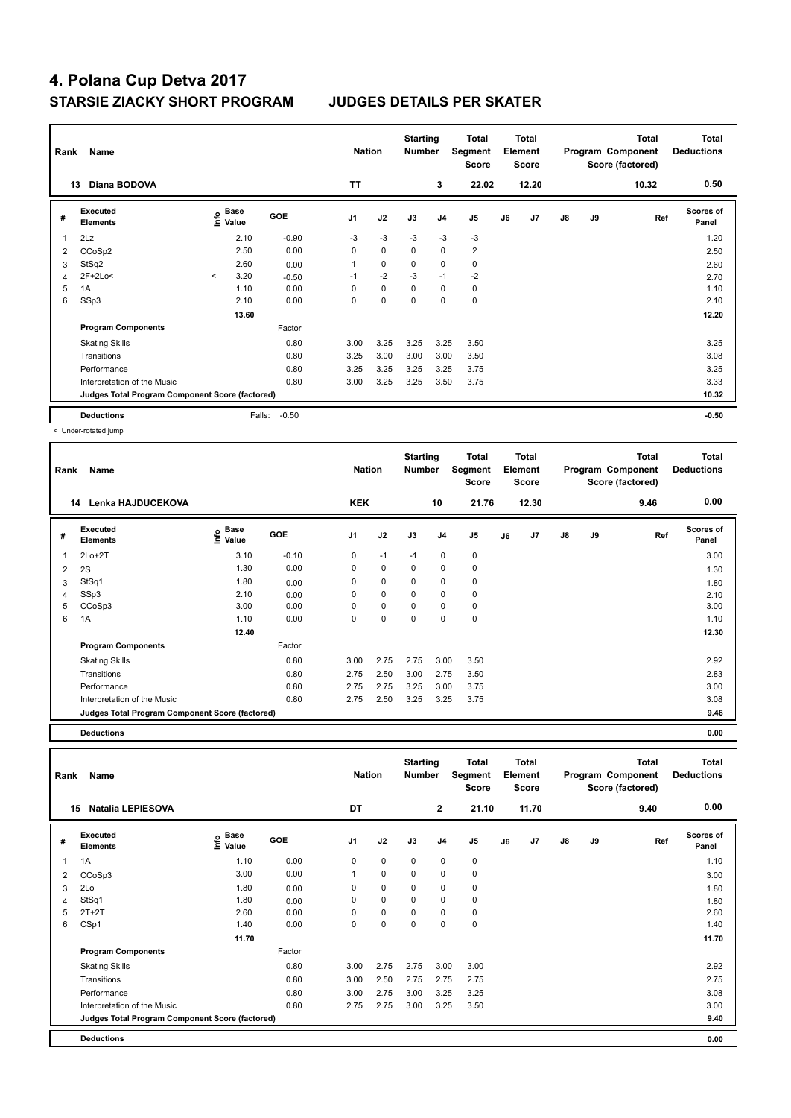| Rank | Name                                            |         |                           |            | <b>Nation</b>  |      | <b>Starting</b><br><b>Number</b> |                | Total<br>Segment<br><b>Score</b> |    | <b>Total</b><br>Element<br><b>Score</b> |               |    | <b>Total</b><br>Program Component<br>Score (factored) | Total<br><b>Deductions</b> |
|------|-------------------------------------------------|---------|---------------------------|------------|----------------|------|----------------------------------|----------------|----------------------------------|----|-----------------------------------------|---------------|----|-------------------------------------------------------|----------------------------|
|      | Diana BODOVA<br>13                              |         |                           |            | <b>TT</b>      |      |                                  | 3              | 22.02                            |    | 12.20                                   |               |    | 10.32                                                 | 0.50                       |
| #    | Executed<br><b>Elements</b>                     |         | Base<br>e Base<br>트 Value | <b>GOE</b> | J <sub>1</sub> | J2   | J3                               | J <sub>4</sub> | J <sub>5</sub>                   | J6 | J7                                      | $\mathsf{J}8$ | J9 | Ref                                                   | <b>Scores of</b><br>Panel  |
|      | 2Lz                                             |         | 2.10                      | $-0.90$    | $-3$           | $-3$ | $-3$                             | $-3$           | -3                               |    |                                         |               |    |                                                       | 1.20                       |
| 2    | CCoSp2                                          |         | 2.50                      | 0.00       | 0              | 0    | 0                                | 0              | $\overline{2}$                   |    |                                         |               |    |                                                       | 2.50                       |
| 3    | StSq2                                           |         | 2.60                      | 0.00       | 1              | 0    | 0                                | $\mathbf 0$    | $\mathbf 0$                      |    |                                         |               |    |                                                       | 2.60                       |
| 4    | $2F+2Lo<$                                       | $\prec$ | 3.20                      | $-0.50$    | $-1$           | $-2$ | $-3$                             | $-1$           | $-2$                             |    |                                         |               |    |                                                       | 2.70                       |
| 5    | 1A                                              |         | 1.10                      | 0.00       | $\Omega$       | 0    | $\Omega$                         | 0              | 0                                |    |                                         |               |    |                                                       | 1.10                       |
| 6    | SSp3                                            |         | 2.10                      | 0.00       | 0              | 0    | $\Omega$                         | 0              | $\mathbf 0$                      |    |                                         |               |    |                                                       | 2.10                       |
|      |                                                 |         | 13.60                     |            |                |      |                                  |                |                                  |    |                                         |               |    |                                                       | 12.20                      |
|      | <b>Program Components</b>                       |         |                           | Factor     |                |      |                                  |                |                                  |    |                                         |               |    |                                                       |                            |
|      | <b>Skating Skills</b>                           |         |                           | 0.80       | 3.00           | 3.25 | 3.25                             | 3.25           | 3.50                             |    |                                         |               |    |                                                       | 3.25                       |
|      | Transitions                                     |         |                           | 0.80       | 3.25           | 3.00 | 3.00                             | 3.00           | 3.50                             |    |                                         |               |    |                                                       | 3.08                       |
|      | Performance                                     |         |                           | 0.80       | 3.25           | 3.25 | 3.25                             | 3.25           | 3.75                             |    |                                         |               |    |                                                       | 3.25                       |
|      | Interpretation of the Music                     |         |                           | 0.80       | 3.00           | 3.25 | 3.25                             | 3.50           | 3.75                             |    |                                         |               |    |                                                       | 3.33                       |
|      | Judges Total Program Component Score (factored) |         |                           |            |                |      |                                  |                |                                  |    |                                         |               |    |                                                       | 10.32                      |
|      | <b>Deductions</b>                               |         | Falls:                    | $-0.50$    |                |      |                                  |                |                                  |    |                                         |               |    |                                                       | $-0.50$                    |

< Under-rotated jump

| Rank | Name                                            |                              |            | <b>Nation</b>  |             | <b>Starting</b><br><b>Number</b> |                | <b>Total</b><br>Segment<br><b>Score</b> |    | <b>Total</b><br>Element<br><b>Score</b> |               |    | <b>Total</b><br>Program Component<br>Score (factored) | <b>Total</b><br><b>Deductions</b> |
|------|-------------------------------------------------|------------------------------|------------|----------------|-------------|----------------------------------|----------------|-----------------------------------------|----|-----------------------------------------|---------------|----|-------------------------------------------------------|-----------------------------------|
|      | Lenka HAJDUCEKOVA<br>14                         |                              |            | <b>KEK</b>     |             |                                  | 10             | 21.76                                   |    | 12.30                                   |               |    | 9.46                                                  | 0.00                              |
| #    | Executed<br><b>Elements</b>                     | <b>Base</b><br>١nf٥<br>Value | <b>GOE</b> | J <sub>1</sub> | J2          | J3                               | J <sub>4</sub> | J <sub>5</sub>                          | J6 | J7                                      | $\mathsf{J}8$ | J9 | Ref                                                   | Scores of<br>Panel                |
| 1    | $2Lo+2T$                                        | 3.10                         | $-0.10$    | 0              | $-1$        | $-1$                             | $\mathbf 0$    | $\pmb{0}$                               |    |                                         |               |    |                                                       | 3.00                              |
| 2    | 2S                                              | 1.30                         | 0.00       | 0              | 0           | 0                                | 0              | 0                                       |    |                                         |               |    |                                                       | 1.30                              |
| 3    | StSq1                                           | 1.80                         | 0.00       | $\Omega$       | $\mathbf 0$ | $\Omega$                         | $\mathbf 0$    | $\mathbf 0$                             |    |                                         |               |    |                                                       | 1.80                              |
| 4    | SSp3                                            | 2.10                         | 0.00       | 0              | $\mathbf 0$ | $\Omega$                         | $\mathbf 0$    | $\mathbf 0$                             |    |                                         |               |    |                                                       | 2.10                              |
| 5    | CCoSp3                                          | 3.00                         | 0.00       | $\Omega$       | $\mathbf 0$ | $\Omega$                         | 0              | 0                                       |    |                                         |               |    |                                                       | 3.00                              |
| 6    | 1A                                              | 1.10                         | 0.00       | 0              | 0           | 0                                | 0              | $\mathbf 0$                             |    |                                         |               |    |                                                       | 1.10                              |
|      |                                                 | 12.40                        |            |                |             |                                  |                |                                         |    |                                         |               |    |                                                       | 12.30                             |
|      | <b>Program Components</b>                       |                              | Factor     |                |             |                                  |                |                                         |    |                                         |               |    |                                                       |                                   |
|      | <b>Skating Skills</b>                           |                              | 0.80       | 3.00           | 2.75        | 2.75                             | 3.00           | 3.50                                    |    |                                         |               |    |                                                       | 2.92                              |
|      | Transitions                                     |                              | 0.80       | 2.75           | 2.50        | 3.00                             | 2.75           | 3.50                                    |    |                                         |               |    |                                                       | 2.83                              |
|      | Performance                                     |                              | 0.80       | 2.75           | 2.75        | 3.25                             | 3.00           | 3.75                                    |    |                                         |               |    |                                                       | 3.00                              |
|      | Interpretation of the Music                     |                              | 0.80       | 2.75           | 2.50        | 3.25                             | 3.25           | 3.75                                    |    |                                         |               |    |                                                       | 3.08                              |
|      | Judges Total Program Component Score (factored) |                              |            |                |             |                                  |                |                                         |    |                                         |               |    |                                                       | 9.46                              |

**Deductions 0.00**

**Total Deductions Total Program Component Score (factored) Total Element Score Total Segment Score Starting Rank Name Nation Number # Executed Elements Base Value GOE J1 J2 J3 J4 J5 J6 J7 J8 J9 Scores of Panel** 1 1A 1.10 0.00 0 0 0 0 0 **Ref**  سماء بال بن المسابق المسابق المسابق المسابق المسابق المسابق المسابق المسابق المسابق المسابق المسابق المسابق ال<br>1A 1.10 0.00 0 0 0 0 0 0 1.10<br>1A 1.10 0.00 0 0 0 0 0 0 1.10  **15 Natalia LEPIESOVA DT 2 21.10 11.70 9.40 0.00** 2 CCoSp3 3.00 0.00 1 0 0 0 0 3.00 3 2Lo 1.80 0.00 0 0 0 0 0 1.80 4 StSq1 1.80 0.00 0 0 0 0 0 1.80 5 2T+2T 2.60 0.00 0 0 0 0 0 2.60 6 CSp1 1.40 0.00 0 0 0 0 0 1.40 **11.70 11.70 Program Components**  Skating Skills 3.00 2.75 3.00 3.00 Factor 0.80 2.92 Transitions 0.80 3.00 2.50 2.75 2.75 2.75 2.75 Performance 0.80 3.00 2.75 3.00 3.25 3.25 3.08 Interpretation of the Music 0.80 0.80 2.75 2.75 3.00 3.25 3.50 3.25 3.50 **Deductions 0.00 Judges Total Program Component Score (factored) 9.40**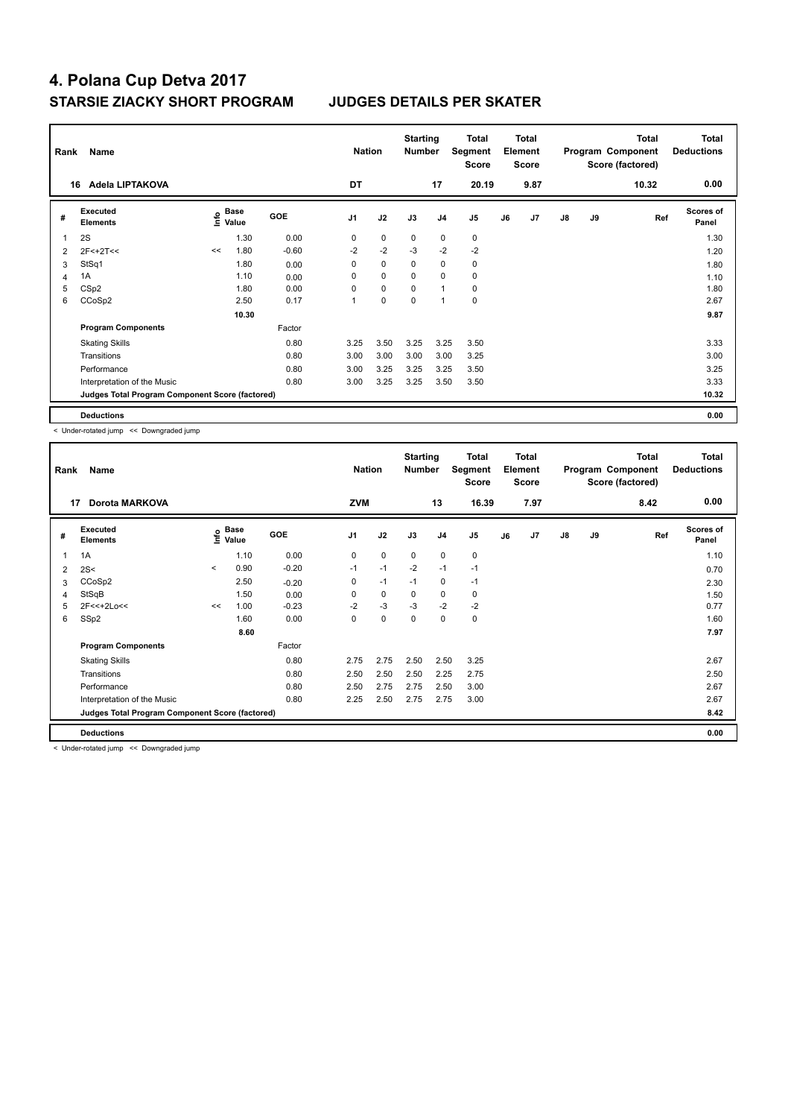| Rank | Name                                            |    |                    |            | <b>Nation</b>  |             | <b>Starting</b><br><b>Number</b> |                | Total<br>Segment<br><b>Score</b> |    | <b>Total</b><br>Element<br><b>Score</b> |               |    | <b>Total</b><br>Program Component<br>Score (factored) | <b>Total</b><br><b>Deductions</b> |
|------|-------------------------------------------------|----|--------------------|------------|----------------|-------------|----------------------------------|----------------|----------------------------------|----|-----------------------------------------|---------------|----|-------------------------------------------------------|-----------------------------------|
|      | Adela LIPTAKOVA<br>16                           |    |                    |            | DT             |             |                                  | 17             | 20.19                            |    | 9.87                                    |               |    | 10.32                                                 | 0.00                              |
| #    | Executed<br><b>Elements</b>                     |    | $\frac{6}{5}$ Base | <b>GOE</b> | J <sub>1</sub> | J2          | J3                               | J <sub>4</sub> | J <sub>5</sub>                   | J6 | J7                                      | $\mathsf{J}8$ | J9 | Ref                                                   | <b>Scores of</b><br>Panel         |
|      | 2S                                              |    | 1.30               | 0.00       | 0              | $\mathbf 0$ | 0                                | $\mathbf 0$    | 0                                |    |                                         |               |    |                                                       | 1.30                              |
| 2    | $2F<+2T<<$                                      | << | 1.80               | $-0.60$    | $-2$           | $-2$        | $-3$                             | $-2$           | $-2$                             |    |                                         |               |    |                                                       | 1.20                              |
| 3    | StSq1                                           |    | 1.80               | 0.00       | 0              | $\mathbf 0$ | $\Omega$                         | $\mathbf 0$    | $\pmb{0}$                        |    |                                         |               |    |                                                       | 1.80                              |
|      | 1A                                              |    | 1.10               | 0.00       | 0              | $\mathbf 0$ | $\Omega$                         | $\mathbf 0$    | 0                                |    |                                         |               |    |                                                       | 1.10                              |
| 5    | CS <sub>p2</sub>                                |    | 1.80               | 0.00       | 0              | $\mathbf 0$ | $\Omega$                         | $\overline{1}$ | 0                                |    |                                         |               |    |                                                       | 1.80                              |
| 6    | CCoSp2                                          |    | 2.50               | 0.17       | 1              | 0           | 0                                | $\overline{1}$ | $\pmb{0}$                        |    |                                         |               |    |                                                       | 2.67                              |
|      |                                                 |    | 10.30              |            |                |             |                                  |                |                                  |    |                                         |               |    |                                                       | 9.87                              |
|      | <b>Program Components</b>                       |    |                    | Factor     |                |             |                                  |                |                                  |    |                                         |               |    |                                                       |                                   |
|      | <b>Skating Skills</b>                           |    |                    | 0.80       | 3.25           | 3.50        | 3.25                             | 3.25           | 3.50                             |    |                                         |               |    |                                                       | 3.33                              |
|      | Transitions                                     |    |                    | 0.80       | 3.00           | 3.00        | 3.00                             | 3.00           | 3.25                             |    |                                         |               |    |                                                       | 3.00                              |
|      | Performance                                     |    |                    | 0.80       | 3.00           | 3.25        | 3.25                             | 3.25           | 3.50                             |    |                                         |               |    |                                                       | 3.25                              |
|      | Interpretation of the Music                     |    |                    | 0.80       | 3.00           | 3.25        | 3.25                             | 3.50           | 3.50                             |    |                                         |               |    |                                                       | 3.33                              |
|      | Judges Total Program Component Score (factored) |    |                    |            |                |             |                                  |                |                                  |    |                                         |               |    |                                                       | 10.32                             |
|      | <b>Deductions</b>                               |    |                    |            |                |             |                                  |                |                                  |    |                                         |               |    |                                                       | 0.00                              |

< Under-rotated jump << Downgraded jump

| Name<br>Rank |                                                 |         |                                         |            |                | <b>Starting</b><br><b>Nation</b><br><b>Number</b> |             |                | Total<br>Segment<br><b>Score</b> | <b>Total</b><br>Element<br><b>Score</b> |      |               |    | <b>Total</b><br>Program Component<br>Score (factored) | Total<br><b>Deductions</b> |
|--------------|-------------------------------------------------|---------|-----------------------------------------|------------|----------------|---------------------------------------------------|-------------|----------------|----------------------------------|-----------------------------------------|------|---------------|----|-------------------------------------------------------|----------------------------|
| 17           | <b>Dorota MARKOVA</b>                           |         |                                         |            | <b>ZVM</b>     |                                                   |             | 13             | 16.39                            |                                         | 7.97 |               |    | 8.42                                                  | 0.00                       |
| #            | Executed<br><b>Elements</b>                     |         | $\mathbf{e}$ Base<br>$\mathbf{e}$ Value | <b>GOE</b> | J <sub>1</sub> | J2                                                | J3          | J <sub>4</sub> | J <sub>5</sub>                   | J6                                      | J7   | $\mathsf{J}8$ | J9 | Ref                                                   | <b>Scores of</b><br>Panel  |
|              | 1A                                              |         | 1.10                                    | 0.00       | 0              | $\mathbf 0$                                       | $\mathbf 0$ | $\mathbf 0$    | $\mathbf 0$                      |                                         |      |               |    |                                                       | 1.10                       |
| 2            | 2S<                                             | $\prec$ | 0.90                                    | $-0.20$    | $-1$           | $-1$                                              | $-2$        | $-1$           | $-1$                             |                                         |      |               |    |                                                       | 0.70                       |
| 3            | CCoSp2                                          |         | 2.50                                    | $-0.20$    | 0              | $-1$                                              | $-1$        | $\mathbf 0$    | $-1$                             |                                         |      |               |    |                                                       | 2.30                       |
| 4            | StSqB                                           |         | 1.50                                    | 0.00       | 0              | $\pmb{0}$                                         | 0           | $\pmb{0}$      | 0                                |                                         |      |               |    |                                                       | 1.50                       |
| 5            | 2F<<+2Lo<<                                      | <<      | 1.00                                    | $-0.23$    | $-2$           | $-3$                                              | $-3$        | $-2$           | $-2$                             |                                         |      |               |    |                                                       | 0.77                       |
| 6            | SSp2                                            |         | 1.60                                    | 0.00       | 0              | $\pmb{0}$                                         | 0           | 0              | 0                                |                                         |      |               |    |                                                       | 1.60                       |
|              |                                                 |         | 8.60                                    |            |                |                                                   |             |                |                                  |                                         |      |               |    |                                                       | 7.97                       |
|              | <b>Program Components</b>                       |         |                                         | Factor     |                |                                                   |             |                |                                  |                                         |      |               |    |                                                       |                            |
|              | <b>Skating Skills</b>                           |         |                                         | 0.80       | 2.75           | 2.75                                              | 2.50        | 2.50           | 3.25                             |                                         |      |               |    |                                                       | 2.67                       |
|              | Transitions                                     |         |                                         | 0.80       | 2.50           | 2.50                                              | 2.50        | 2.25           | 2.75                             |                                         |      |               |    |                                                       | 2.50                       |
|              | Performance                                     |         |                                         | 0.80       | 2.50           | 2.75                                              | 2.75        | 2.50           | 3.00                             |                                         |      |               |    |                                                       | 2.67                       |
|              | Interpretation of the Music                     |         |                                         | 0.80       | 2.25           | 2.50                                              | 2.75        | 2.75           | 3.00                             |                                         |      |               |    |                                                       | 2.67                       |
|              | Judges Total Program Component Score (factored) |         |                                         |            |                |                                                   |             |                |                                  |                                         |      |               |    |                                                       | 8.42                       |
|              | <b>Deductions</b>                               |         |                                         |            |                |                                                   |             |                |                                  |                                         |      |               |    |                                                       | 0.00                       |

< Under-rotated jump << Downgraded jump